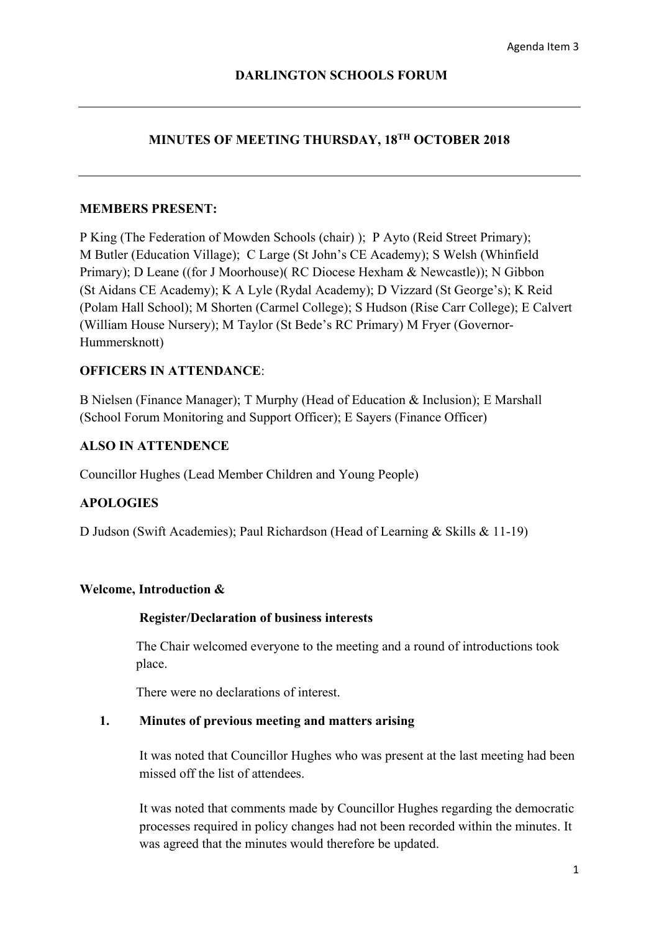## **MINUTES OF MEETING THURSDAY, 18TH OCTOBER 2018**

### **MEMBERS PRESENT:**

P King (The Federation of Mowden Schools (chair) ); P Ayto (Reid Street Primary); M Butler (Education Village); C Large (St John's CE Academy); S Welsh (Whinfield Primary); D Leane ((for J Moorhouse)( RC Diocese Hexham & Newcastle)); N Gibbon (St Aidans CE Academy); K A Lyle (Rydal Academy); D Vizzard (St George's); K Reid (Polam Hall School); M Shorten (Carmel College); S Hudson (Rise Carr College); E Calvert (William House Nursery); M Taylor (St Bede's RC Primary) M Fryer (Governor-Hummersknott)

### **OFFICERS IN ATTENDANCE**:

B Nielsen (Finance Manager); T Murphy (Head of Education & Inclusion); E Marshall (School Forum Monitoring and Support Officer); E Sayers (Finance Officer)

### **ALSO IN ATTENDENCE**

Councillor Hughes (Lead Member Children and Young People)

### **APOLOGIES**

D Judson (Swift Academies); Paul Richardson (Head of Learning & Skills & 11-19)

#### **Welcome, Introduction &**

#### **Register/Declaration of business interests**

The Chair welcomed everyone to the meeting and a round of introductions took place.

There were no declarations of interest.

### **1. Minutes of previous meeting and matters arising**

It was noted that Councillor Hughes who was present at the last meeting had been missed off the list of attendees.

It was noted that comments made by Councillor Hughes regarding the democratic processes required in policy changes had not been recorded within the minutes. It was agreed that the minutes would therefore be updated.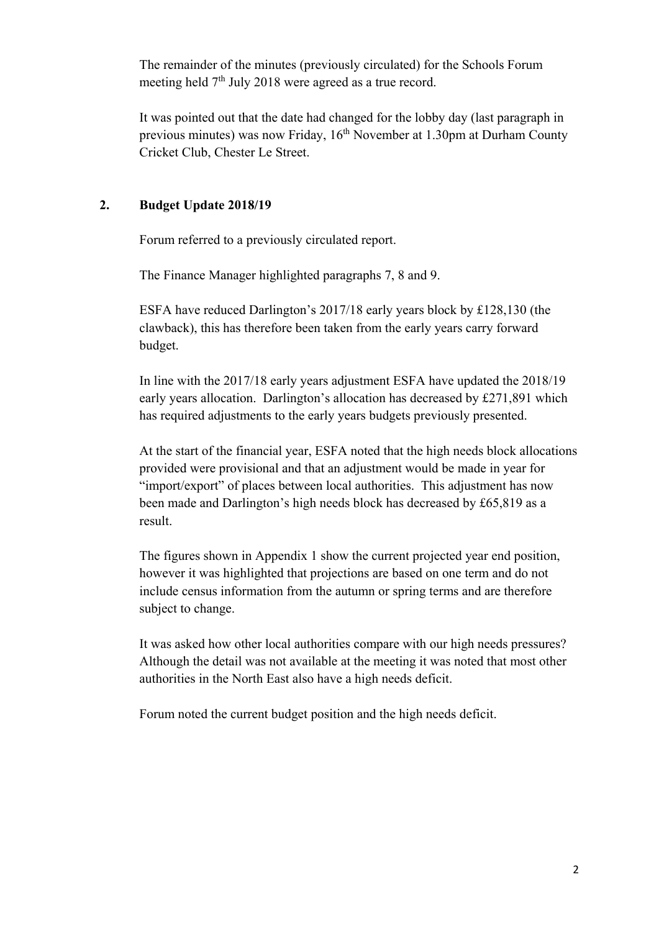The remainder of the minutes (previously circulated) for the Schools Forum meeting held 7<sup>th</sup> July 2018 were agreed as a true record.

It was pointed out that the date had changed for the lobby day (last paragraph in previous minutes) was now Friday, 16<sup>th</sup> November at 1.30pm at Durham County Cricket Club, Chester Le Street.

# **2. Budget Update 2018/19**

Forum referred to a previously circulated report.

The Finance Manager highlighted paragraphs 7, 8 and 9.

ESFA have reduced Darlington's 2017/18 early years block by £128,130 (the clawback), this has therefore been taken from the early years carry forward budget.

In line with the 2017/18 early years adjustment ESFA have updated the 2018/19 early years allocation. Darlington's allocation has decreased by £271,891 which has required adjustments to the early years budgets previously presented.

At the start of the financial year, ESFA noted that the high needs block allocations provided were provisional and that an adjustment would be made in year for "import/export" of places between local authorities. This adjustment has now been made and Darlington's high needs block has decreased by £65,819 as a result.

The figures shown in Appendix 1 show the current projected year end position, however it was highlighted that projections are based on one term and do not include census information from the autumn or spring terms and are therefore subject to change.

 It was asked how other local authorities compare with our high needs pressures? Although the detail was not available at the meeting it was noted that most other authorities in the North East also have a high needs deficit.

Forum noted the current budget position and the high needs deficit.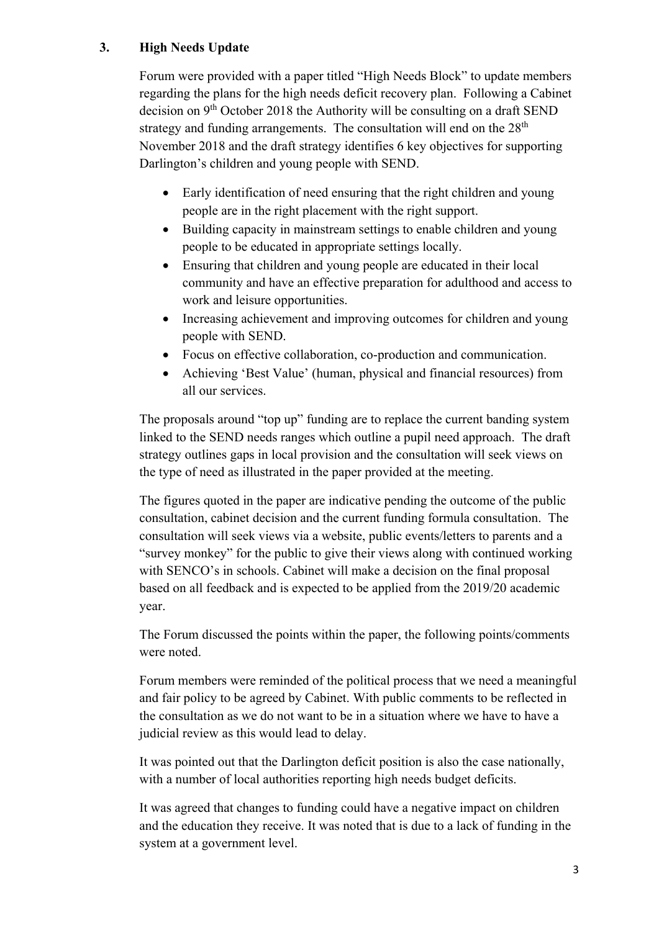# **3. High Needs Update**

Forum were provided with a paper titled "High Needs Block" to update members regarding the plans for the high needs deficit recovery plan. Following a Cabinet decision on 9th October 2018 the Authority will be consulting on a draft SEND strategy and funding arrangements. The consultation will end on the  $28<sup>th</sup>$ November 2018 and the draft strategy identifies 6 key objectives for supporting Darlington's children and young people with SEND.

- Early identification of need ensuring that the right children and young people are in the right placement with the right support.
- Building capacity in mainstream settings to enable children and young people to be educated in appropriate settings locally.
- Ensuring that children and young people are educated in their local community and have an effective preparation for adulthood and access to work and leisure opportunities.
- Increasing achievement and improving outcomes for children and young people with SEND.
- Focus on effective collaboration, co-production and communication.
- Achieving 'Best Value' (human, physical and financial resources) from all our services.

The proposals around "top up" funding are to replace the current banding system linked to the SEND needs ranges which outline a pupil need approach. The draft strategy outlines gaps in local provision and the consultation will seek views on the type of need as illustrated in the paper provided at the meeting.

The figures quoted in the paper are indicative pending the outcome of the public consultation, cabinet decision and the current funding formula consultation. The consultation will seek views via a website, public events/letters to parents and a "survey monkey" for the public to give their views along with continued working with SENCO's in schools. Cabinet will make a decision on the final proposal based on all feedback and is expected to be applied from the 2019/20 academic year.

The Forum discussed the points within the paper, the following points/comments were noted.

Forum members were reminded of the political process that we need a meaningful and fair policy to be agreed by Cabinet. With public comments to be reflected in the consultation as we do not want to be in a situation where we have to have a judicial review as this would lead to delay.

It was pointed out that the Darlington deficit position is also the case nationally, with a number of local authorities reporting high needs budget deficits.

It was agreed that changes to funding could have a negative impact on children and the education they receive. It was noted that is due to a lack of funding in the system at a government level.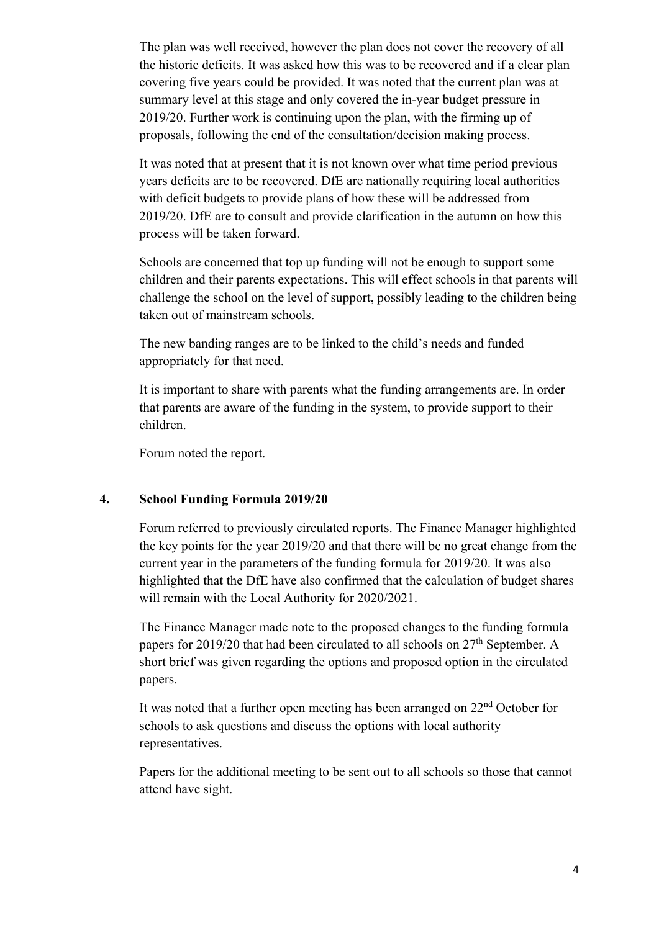The plan was well received, however the plan does not cover the recovery of all the historic deficits. It was asked how this was to be recovered and if a clear plan covering five years could be provided. It was noted that the current plan was at summary level at this stage and only covered the in-year budget pressure in 2019/20. Further work is continuing upon the plan, with the firming up of proposals, following the end of the consultation/decision making process.

It was noted that at present that it is not known over what time period previous years deficits are to be recovered. DfE are nationally requiring local authorities with deficit budgets to provide plans of how these will be addressed from 2019/20. DfE are to consult and provide clarification in the autumn on how this process will be taken forward.

Schools are concerned that top up funding will not be enough to support some children and their parents expectations. This will effect schools in that parents will challenge the school on the level of support, possibly leading to the children being taken out of mainstream schools.

The new banding ranges are to be linked to the child's needs and funded appropriately for that need.

It is important to share with parents what the funding arrangements are. In order that parents are aware of the funding in the system, to provide support to their children.

Forum noted the report.

## **4. School Funding Formula 2019/20**

Forum referred to previously circulated reports. The Finance Manager highlighted the key points for the year 2019/20 and that there will be no great change from the current year in the parameters of the funding formula for 2019/20. It was also highlighted that the DfE have also confirmed that the calculation of budget shares will remain with the Local Authority for 2020/2021.

The Finance Manager made note to the proposed changes to the funding formula papers for 2019/20 that had been circulated to all schools on 27th September. A short brief was given regarding the options and proposed option in the circulated papers.

It was noted that a further open meeting has been arranged on 22nd October for schools to ask questions and discuss the options with local authority representatives.

Papers for the additional meeting to be sent out to all schools so those that cannot attend have sight.